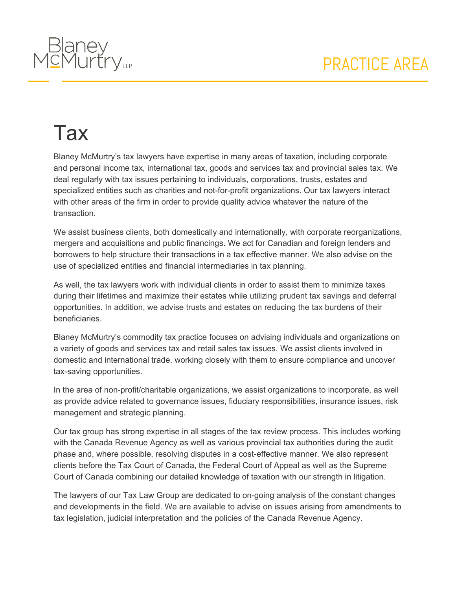

## **Tax**

Blaney McMurtry's tax lawyers have expertise in many areas of taxation, including corporate and personal income tax, international tax, goods and services tax and provincial sales tax. We deal regularly with tax issues pertaining to individuals, corporations, trusts, estates and specialized entities such as charities and not-for-profit organizations. Our tax lawyers interact with other areas of the firm in order to provide quality advice whatever the nature of the transaction.

We assist business clients, both domestically and internationally, with corporate reorganizations, mergers and acquisitions and public financings. We act for Canadian and foreign lenders and borrowers to help structure their transactions in a tax effective manner. We also advise on the use of specialized entities and financial intermediaries in tax planning.

As well, the tax lawyers work with individual clients in order to assist them to minimize taxes during their lifetimes and maximize their estates while utilizing prudent tax savings and deferral opportunities. In addition, we advise trusts and estates on reducing the tax burdens of their beneficiaries.

Blaney McMurtry's commodity tax practice focuses on advising individuals and organizations on a variety of goods and services tax and retail sales tax issues. We assist clients involved in domestic and international trade, working closely with them to ensure compliance and uncover tax-saving opportunities.

In the area of non-profit/charitable organizations, we assist organizations to incorporate, as well as provide advice related to governance issues, fiduciary responsibilities, insurance issues, risk management and strategic planning.

Our tax group has strong expertise in all stages of the tax review process. This includes working with the Canada Revenue Agency as well as various provincial tax authorities during the audit phase and, where possible, resolving disputes in a cost-effective manner. We also represent clients before the Tax Court of Canada, the Federal Court of Appeal as well as the Supreme Court of Canada combining our detailed knowledge of taxation with our strength in litigation.

The lawyers of our Tax Law Group are dedicated to on-going analysis of the constant changes and developments in the field. We are available to advise on issues arising from amendments to tax legislation, judicial interpretation and the policies of the Canada Revenue Agency.